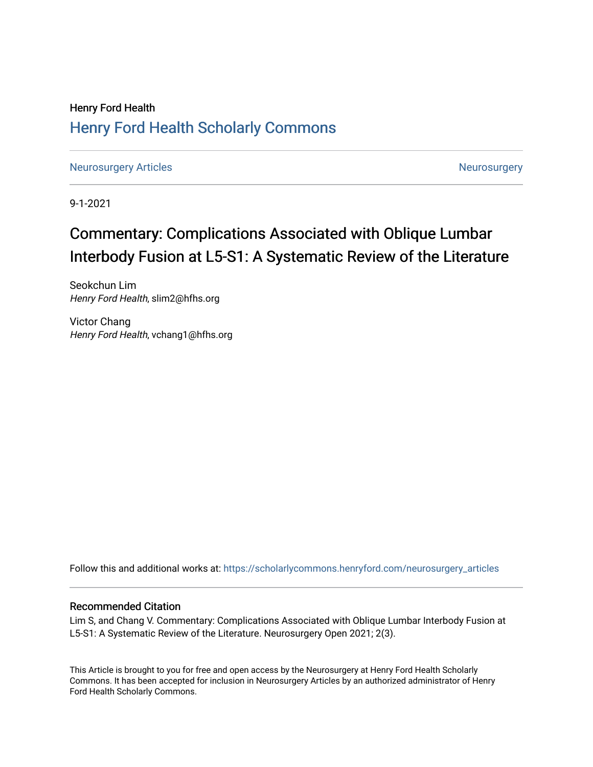## Henry Ford Health [Henry Ford Health Scholarly Commons](https://scholarlycommons.henryford.com/)

[Neurosurgery Articles](https://scholarlycommons.henryford.com/neurosurgery_articles) **Neurosurgery** Neurosurgery

9-1-2021

# Commentary: Complications Associated with Oblique Lumbar Interbody Fusion at L5-S1: A Systematic Review of the Literature

Seokchun Lim Henry Ford Health, slim2@hfhs.org

Victor Chang Henry Ford Health, vchang1@hfhs.org

Follow this and additional works at: [https://scholarlycommons.henryford.com/neurosurgery\\_articles](https://scholarlycommons.henryford.com/neurosurgery_articles?utm_source=scholarlycommons.henryford.com%2Fneurosurgery_articles%2F423&utm_medium=PDF&utm_campaign=PDFCoverPages) 

### Recommended Citation

Lim S, and Chang V. Commentary: Complications Associated with Oblique Lumbar Interbody Fusion at L5-S1: A Systematic Review of the Literature. Neurosurgery Open 2021; 2(3).

This Article is brought to you for free and open access by the Neurosurgery at Henry Ford Health Scholarly Commons. It has been accepted for inclusion in Neurosurgery Articles by an authorized administrator of Henry Ford Health Scholarly Commons.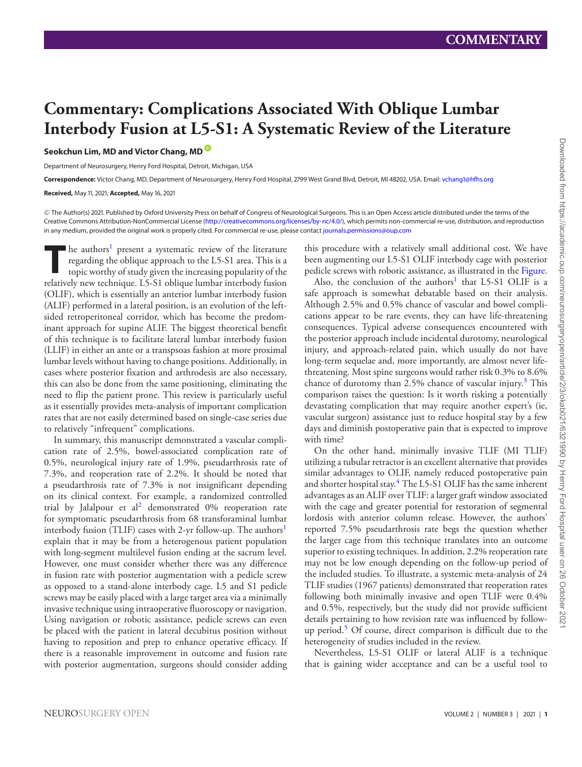## **Commentary: Complications Associated With Oblique Lumbar Interbody Fusion at L5-S1: A Systematic Review of the Literature**

**Seokchun Lim, MD and Victor Chang, MD**

Department of Neurosurgery, Henry Ford Hospital, Detroit, Michigan, USA

**Correspondence:** Victor Chang, MD, Department of Neurosurgery, Henry Ford Hospital, 2799 West Grand Blvd, Detroit, MI 48202, USA. Email: [vchang1@hfhs.org](mailto:vchang1@hfhs.org)

**Received,** May 11, 2021; **Accepted,** May 16, 2021

-<sup>C</sup> The Author(s) 2021. Published by Oxford University Press on behalf of Congress of Neurological Surgeons. This is an Open Access article distributed under the terms of the Creative Commons Attribution-NonCommercial License [\(http://creativecommons.org/licenses/by-nc/4.0/\)](http://creativecommons.org/licenses/by-nc/4.0/), which permits non-commercial re-use, distribution, and reproduction in any medium, provided the original work is properly cited. For commercial re-use, please contact [journals.permissions@oup.com](mailto:journals.permissions@oup.com)

The authors<sup>[1](#page-3-0)</sup> present a systematic review of the literature<br>regarding the oblique approach to the L5-S1 area. This is a<br>topic worthy of study given the increasing popularity of the<br>relatively new technique 1.5 S1 oblique regarding the oblique approach to the L5-S1 area. This is a topic worthy of study given the increasing popularity of the relatively new technique. L5-S1 oblique lumbar interbody fusion (OLIF), which is essentially an anterior lumbar interbody fusion (ALIF) performed in a lateral position, is an evolution of the leftsided retroperitoneal corridor, which has become the predominant approach for supine ALIF. The biggest theoretical benefit of this technique is to facilitate lateral lumbar interbody fusion (LLIF) in either an ante or a transpsoas fashion at more proximal lumbar levels without having to change positions. Additionally, in cases where posterior fixation and arthrodesis are also necessary, this can also be done from the same positioning, eliminating the need to flip the patient prone. This review is particularly useful as it essentially provides meta-analysis of important complication rates that are not easily determined based on single-case series due to relatively "infrequent" complications.

In summary, this manuscript demonstrated a vascular complication rate of 2.5%, bowel-associated complication rate of 0.5%, neurological injury rate of 1.9%, pseudarthrosis rate of 7.3%, and reoperation rate of 2.2%. It should be noted that a pseudarthrosis rate of 7.3% is not insignificant depending on its clinical context. For example, a randomized controlled trial by Jalalpour et al<sup>2</sup> demonstrated  $0\%$  reoperation rate for symptomatic pseudarthrosis from 68 transforaminal lumbar interbody fusion (TLIF) cases with 2-yr follow-up. The authors<sup>1</sup> explain that it may be from a heterogenous patient population with long-segment multilevel fusion ending at the sacrum level. However, one must consider whether there was any difference in fusion rate with posterior augmentation with a pedicle screw as opposed to a stand-alone interbody cage. L5 and S1 pedicle screws may be easily placed with a large target area via a minimally invasive technique using intraoperative fluoroscopy or navigation. Using navigation or robotic assistance, pedicle screws can even be placed with the patient in lateral decubitus position without having to reposition and prep to enhance operative efficacy. If there is a reasonable improvement in outcome and fusion rate with posterior augmentation, surgeons should consider adding

this procedure with a relatively small additional cost. We have been augmenting our L5-S1 OLIF interbody cage with posterior pedicle screws with robotic assistance, as illustrated in the Figure.

Also, the conclusion of the authors<sup>1</sup> that L5-S1 OLIF is a safe approach is somewhat debatable based on their analysis. Although 2.5% and 0.5% chance of vascular and bowel complications appear to be rare events, they can have life-threatening consequences. Typical adverse consequences encountered with the posterior approach include incidental durotomy, neurological injury, and approach-related pain, which usually do not have long-term sequelae and, more importantly, are almost never lifethreatening. Most spine surgeons would rather risk 0.3% to 8.6% chance of durotomy than 2.5% chance of vascular injury. $3$  This comparison raises the question: Is it worth risking a potentially devastating complication that may require another expert's (ie, vascular surgeon) assistance just to reduce hospital stay by a few days and diminish postoperative pain that is expected to improve with time?

On the other hand, minimally invasive TLIF (MI TLIF) utilizing a tubular retractor is an excellent alternative that provides similar advantages to OLIF, namely reduced postoperative pain and shorter hospital stay.<sup>[4](#page-3-3)</sup> The L5-S1 OLIF has the same inherent advantages as an ALIF over TLIF: a larger graft window associated with the cage and greater potential for restoration of segmental lordosis with anterior column release. However, the authors' reported 7.5% pseudarthrosis rate begs the question whether the larger cage from this technique translates into an outcome superior to existing techniques. In addition, 2.2% reoperation rate may not be low enough depending on the follow-up period of the included studies. To illustrate, a systemic meta-analysis of 24 TLIF studies (1967 patients) demonstrated that reoperation rates following both minimally invasive and open TLIF were 0.4% and 0.5%, respectively, but the study did not provide sufficient details pertaining to how revision rate was influenced by follow-up period.<sup>[5](#page-3-4)</sup> Of course, direct comparison is difficult due to the heterogeneity of studies included in the review.

Nevertheless, L5-S1 OLIF or lateral ALIF is a technique that is gaining wider acceptance and can be a useful tool to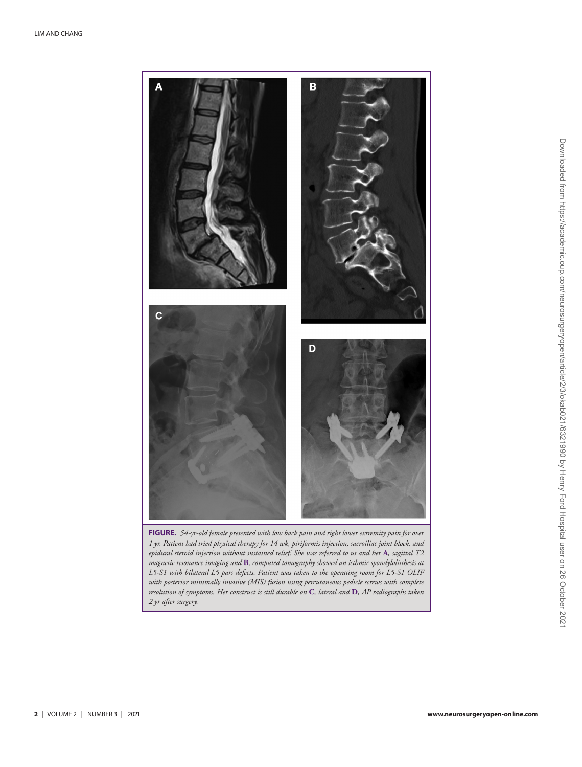

*1 yr. Patient had tried physical therapy for 14 wk, piriformis injection, sacroiliac joint block, and epidural steroid injection without sustained relief. She was referred to us and her* **A***, sagittal T2 magnetic resonance imaging and* **B***, computed tomography showed an isthmic spondylolisthesis at L5-S1 with bilateral L5 pars defects. Patient was taken to the operating room for L5-S1 OLIF with posterior minimally invasive (MIS) fusion using percutaneous pedicle screws with complete resolution of symptoms. Her construct is still durable on* **C***, lateral and* **D***, AP radiographs taken 2 yr after surgery.*